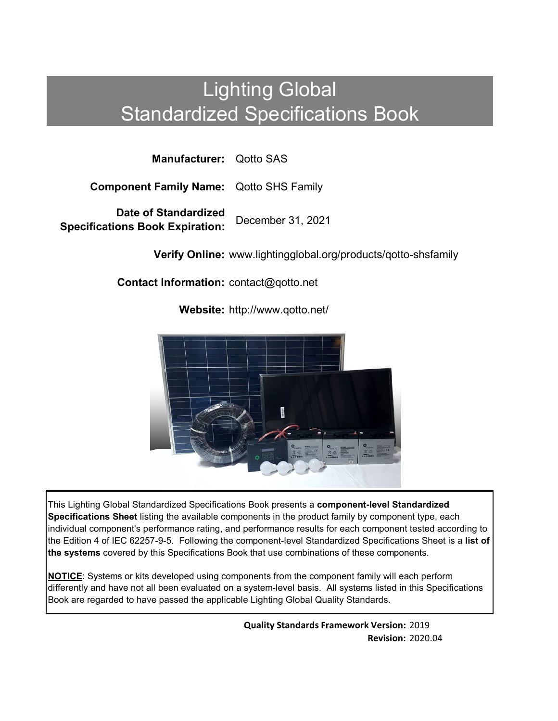# Lighting Global Standardized Specifications Book

**Manufacturer:** Qotto SAS

**Component Family Name:** Qotto SHS Family

**Date of Standardized Specifications Book Expiration:** December 31, 2021

**Verify Online:** www.lightingglobal.org/products/qotto-shsfamily

**Contact Information:** contact@qotto.net

**Website:** http://www.qotto.net/



This Lighting Global Standardized Specifications Book presents a **component-level Standardized Specifications Sheet** listing the available components in the product family by component type, each individual component's performance rating, and performance results for each component tested according to the Edition 4 of IEC 62257-9-5. Following the component-level Standardized Specifications Sheet is a **list of the systems** covered by this Specifications Book that use combinations of these components.

**NOTICE**: Systems or kits developed using components from the component family will each perform differently and have not all been evaluated on a system-level basis. All systems listed in this Specifications Book are regarded to have passed the applicable Lighting Global Quality Standards.

> **Quality Standards Framework Version:** 2019 **Revision:** 2020.04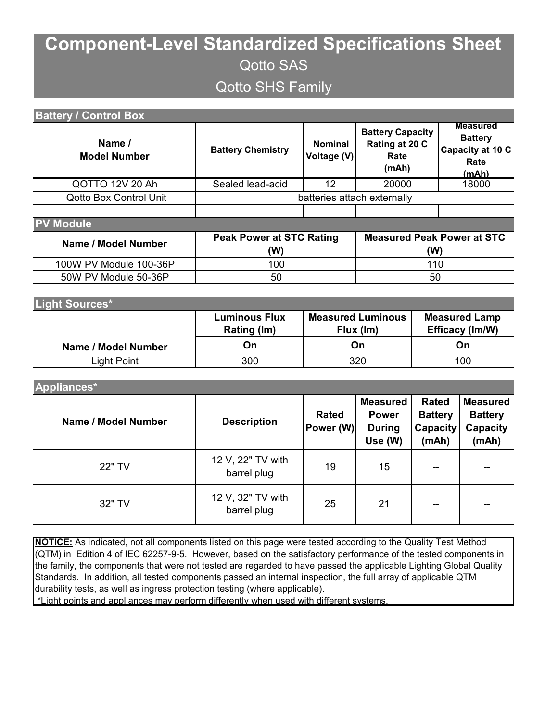## **Component-Level Standardized Specifications Sheet** Qotto SAS Qotto SHS Family

| <b>Battery / Control Box</b>  |                                        |                                       |                                                             |                                                            |                                                                        |  |
|-------------------------------|----------------------------------------|---------------------------------------|-------------------------------------------------------------|------------------------------------------------------------|------------------------------------------------------------------------|--|
| Name /<br><b>Model Number</b> | <b>Battery Chemistry</b>               | <b>Nominal</b><br>Voltage (V)         | <b>Battery Capacity</b><br>Rating at 20 C<br>Rate<br>(mAh)  |                                                            | <b>Measured</b><br><b>Battery</b><br>Capacity at 10 C<br>Rate<br>(mAh) |  |
| QOTTO 12V 20 Ah               | Sealed lead-acid<br>12                 |                                       | 20000                                                       |                                                            | 18000                                                                  |  |
| <b>Qotto Box Control Unit</b> | batteries attach externally            |                                       |                                                             |                                                            |                                                                        |  |
|                               |                                        |                                       |                                                             |                                                            |                                                                        |  |
| <b>Module</b>                 |                                        |                                       |                                                             |                                                            |                                                                        |  |
| Name / Model Number           | <b>Peak Power at STC Rating</b><br>(W) |                                       | <b>Measured Peak Power at STC</b><br>(W)                    |                                                            |                                                                        |  |
| 100W PV Module 100-36P        | 100                                    | 110                                   |                                                             |                                                            |                                                                        |  |
| 50W PV Module 50-36P          | 50                                     | 50                                    |                                                             |                                                            |                                                                        |  |
|                               |                                        |                                       |                                                             |                                                            |                                                                        |  |
| Light Sources*                |                                        |                                       |                                                             |                                                            |                                                                        |  |
|                               | <b>Luminous Flux</b><br>Rating (Im)    | <b>Measured Luminous</b><br>Flux (Im) |                                                             |                                                            | <b>Measured Lamp</b><br>Efficacy (Im/W)                                |  |
| Name / Model Number           | On                                     | On                                    |                                                             |                                                            | On                                                                     |  |
| <b>Light Point</b>            | 300                                    | 320                                   |                                                             |                                                            | 100                                                                    |  |
|                               |                                        |                                       |                                                             |                                                            |                                                                        |  |
| Appliances*                   |                                        |                                       |                                                             |                                                            |                                                                        |  |
| Name / Model Number           | <b>Description</b>                     | <b>Rated</b><br>Power (W)             | <b>Measured</b><br><b>Power</b><br><b>During</b><br>Use (W) | <b>Rated</b><br><b>Battery</b><br><b>Capacity</b><br>(mAh) | <b>Measured</b><br><b>Battery</b><br>Capacity<br>(mAh)                 |  |

| 22" TV | 12 V, 22" TV with<br>barrel plug | 19 | 15 | $\overline{\phantom{m}}$ | $\overline{\phantom{a}}$ |
|--------|----------------------------------|----|----|--------------------------|--------------------------|
| 32" TV | 12 V, 32" TV with<br>barrel plug | 25 | 21 | $\sim$                   | $\sim$ $\sim$            |

**NOTICE:** As indicated, not all components listed on this page were tested according to the Quality Test Method (QTM) in Edition 4 of IEC 62257-9-5. However, based on the satisfactory performance of the tested components in the family, the components that were not tested are regarded to have passed the applicable Lighting Global Quality Standards. In addition, all tested components passed an internal inspection, the full array of applicable QTM durability tests, as well as ingress protection testing (where applicable).

\*Light points and appliances may perform differently when used with different systems.